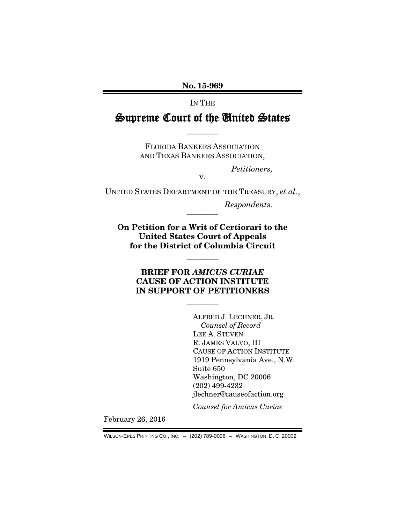No. 15-969

IN THE

Supreme Court of the United States

————

FLORIDA BANKERS ASSOCIATION AND TEXAS BANKERS ASSOCIATION,

*Petitioners,* 

v.

UNITED STATES DEPARTMENT OF THE TREASURY, *et al*.,

*Respondents.* 

On Petition for a Writ of Certiorari to the United States Court of Appeals for the District of Columbia Circuit

————

————

### BRIEF FOR *AMICUS CURIAE* CAUSE OF ACTION INSTITUTE IN SUPPORT OF PETITIONERS

————

ALFRED J. LECHNER, JR. *Counsel of Record*  LEE A. STEVEN R. JAMES VALVO, III CAUSE OF ACTION INSTITUTE 1919 Pennsylvania Ave., N.W. Suite 650 Washington, DC 20006 (202) 499-4232 jlechner@causeofaction.org

*Counsel for Amicus Curiae* 

February 26, 2016

WILSON-EPES PRINTING CO., INC. – (202) 789-0096 – WASHINGTON, D. C. 20002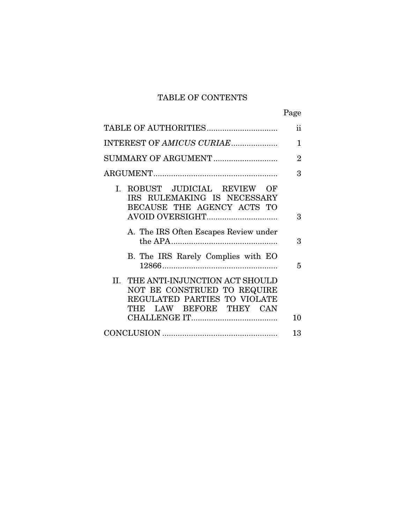## TABLE OF CONTENTS

|                                                                                                                              | Page           |
|------------------------------------------------------------------------------------------------------------------------------|----------------|
|                                                                                                                              | $\mathbf{ii}$  |
| INTEREST OF AMICUS CURIAE                                                                                                    | 1              |
|                                                                                                                              | $\overline{2}$ |
|                                                                                                                              | 3              |
| I. ROBUST JUDICIAL REVIEW<br>OF<br>IRS RULEMAKING IS NECESSARY<br>BECAUSE THE AGENCY ACTS TO                                 |                |
|                                                                                                                              | 3              |
| A. The IRS Often Escapes Review under                                                                                        | 3              |
| B. The IRS Rarely Complies with EO                                                                                           | 5              |
| II. THE ANTI-INJUNCTION ACT SHOULD<br>NOT BE CONSTRUED TO REQUIRE<br>REGULATED PARTIES TO VIOLATE<br>THE LAW BEFORE THEY CAN |                |
|                                                                                                                              | 10             |
|                                                                                                                              | 13             |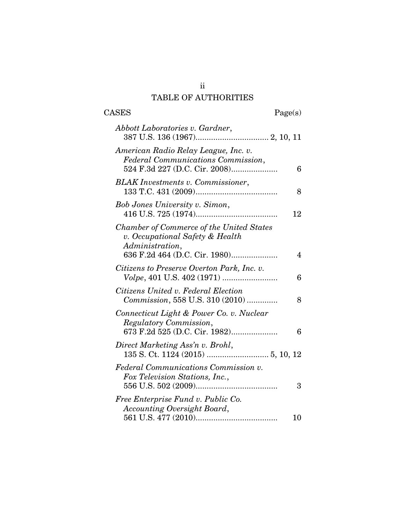# TABLE OF AUTHORITIES

| $\rm{CASES}$                                                                                                | Page(s) |
|-------------------------------------------------------------------------------------------------------------|---------|
| Abbott Laboratories v. Gardner,                                                                             |         |
| American Radio Relay League, Inc. v.<br>Federal Communications Commission,<br>524 F.3d 227 (D.C. Cir. 2008) | 6       |
| <b>BLAK</b> Investments v. Commissioner,                                                                    | 8       |
| <b>Bob Jones University v. Simon,</b>                                                                       | 12      |
| <b>Chamber of Commerce of the United States</b><br>v. Occupational Safety & Health<br>Administration,       | 4       |
| Citizens to Preserve Overton Park, Inc. v.                                                                  | 6       |
| Citizens United v. Federal Election<br><i>Commission</i> , 558 U.S. 310 (2010)                              | 8       |
| Connecticut Light & Power Co. v. Nuclear<br>Regulatory Commission,                                          | 6       |
| Direct Marketing Ass'n v. Brohl,                                                                            |         |
| <b>Federal Communications Commission v.</b><br>Fox Television Stations, Inc.,                               | 3       |
| Free Enterprise Fund v. Public Co.<br><b>Accounting Oversight Board,</b>                                    | 10      |

ii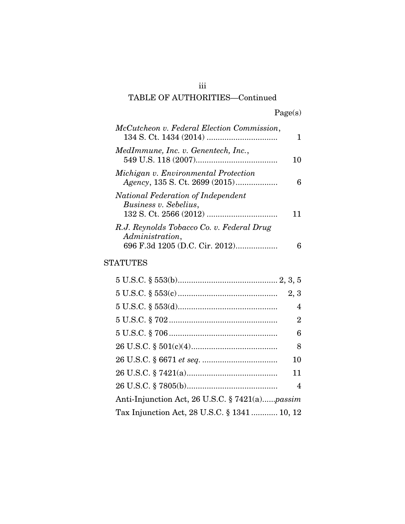| McCutcheon v. Federal Election Commission,                                                     |    |
|------------------------------------------------------------------------------------------------|----|
| MedImmune, Inc. v. Genentech, Inc.,                                                            | 10 |
| Michigan v. Environmental Protection                                                           | 6  |
| National Federation of Independent<br>Business v. Sebelius,                                    |    |
| R.J. Reynolds Tobacco Co. v. Federal Drug<br>Administration,<br>696 F.3d 1205 (D.C. Cir. 2012) |    |
| STATUTES                                                                                       |    |

| 2, 3                                           |  |
|------------------------------------------------|--|
| 4                                              |  |
| $\overline{2}$                                 |  |
| 6                                              |  |
| 8                                              |  |
| 10                                             |  |
| 11                                             |  |
| $\overline{4}$                                 |  |
| Anti-Injunction Act, 26 U.S.C. § 7421(a)passim |  |
| Tax Injunction Act, 28 U.S.C. § 1341 10, 12    |  |

iii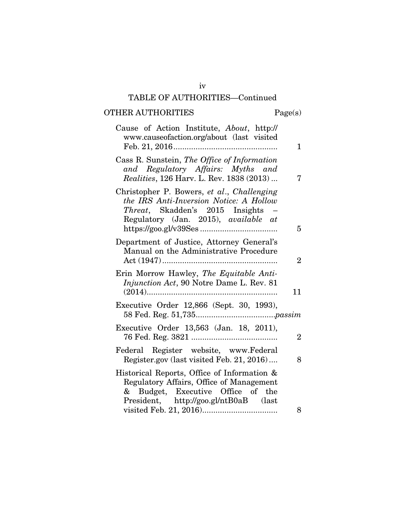# OTHER AUTHORITIES Page(s)

| Cause of Action Institute, About, http://<br>www.causeofaction.org/about (last visited                                                                                   |                |
|--------------------------------------------------------------------------------------------------------------------------------------------------------------------------|----------------|
|                                                                                                                                                                          | 1.             |
| Cass R. Sunstein, The Office of Information<br>and Regulatory Affairs: Myths and<br><i>Realities</i> , 126 Harv. L. Rev. 1838 (2013)                                     | 7              |
| Christopher P. Bowers, et al., Challenging<br>the IRS Anti-Inversion Notice: A Hollow<br>Threat, Skadden's 2015 Insights -<br>Regulatory (Jan. 2015), available at       | 5              |
| Department of Justice, Attorney General's<br>Manual on the Administrative Procedure                                                                                      | $\overline{2}$ |
| Erin Morrow Hawley, The Equitable Anti-<br>Injunction Act, 90 Notre Dame L. Rev. 81                                                                                      | 11             |
| Executive Order 12,866 (Sept. 30, 1993),                                                                                                                                 |                |
| Executive Order 13,563 (Jan. 18, 2011),                                                                                                                                  | $\overline{2}$ |
| Federal Register website, www.Federal<br>Register.gov (last visited Feb. 21, 2016)                                                                                       | 8              |
| Historical Reports, Office of Information &<br>Regulatory Affairs, Office of Management<br>Budget, Executive Office of the<br>&<br>President, http://goo.gl/ntB0aB (last |                |
|                                                                                                                                                                          | 8              |

iv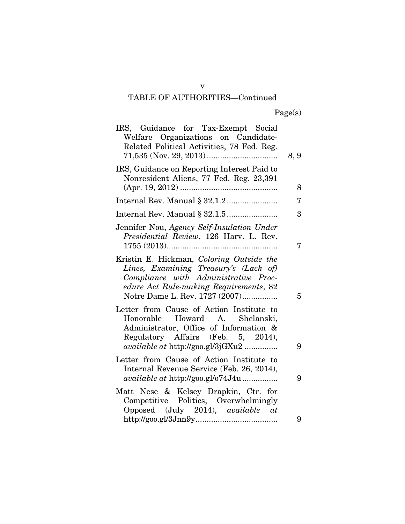| IRS, Guidance for Tax-Exempt Social<br>Welfare Organizations on Candidate-<br>Related Political Activities, 78 Fed. Reg.                                                                              | 8, 9 |
|-------------------------------------------------------------------------------------------------------------------------------------------------------------------------------------------------------|------|
| IRS, Guidance on Reporting Interest Paid to<br>Nonresident Aliens, 77 Fed. Reg. 23,391                                                                                                                | 8    |
|                                                                                                                                                                                                       | 7    |
|                                                                                                                                                                                                       | 3    |
| Jennifer Nou, Agency Self-Insulation Under<br>Presidential Review, 126 Harv. L. Rev.                                                                                                                  | 7    |
| Kristin E. Hickman, Coloring Outside the<br>Lines, Examining Treasury's (Lack of)<br>Compliance with Administrative Proc-<br>edure Act Rule-making Requirements, 82<br>Notre Dame L. Rev. 1727 (2007) | 5    |
| Letter from Cause of Action Institute to<br>Honorable Howard A. Shelanski,<br>Administrator, Office of Information &<br>Regulatory Affairs (Feb. 5, 2014),<br>available at http://goo.gl/3jGXu2       | 9    |
| Letter from Cause of Action Institute to<br>Internal Revenue Service (Feb. 26, 2014),<br><i>available at http://goo.gl/o74J4u</i>                                                                     | 9    |
| Matt Nese & Kelsey Drapkin, Ctr. for<br>Competitive Politics, Overwhelmingly<br>Opposed (July 2014), available at                                                                                     |      |
|                                                                                                                                                                                                       | 9    |

v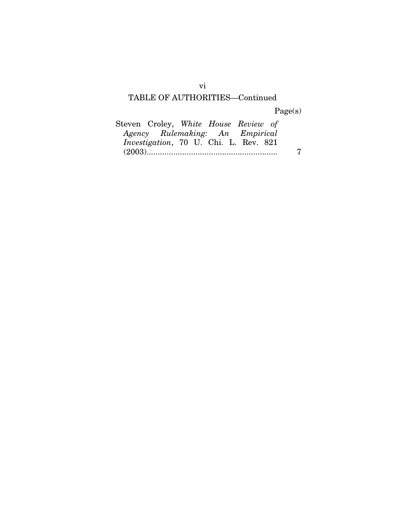Page(s)

| Steven Croley, White House Review of          |  |  |   |
|-----------------------------------------------|--|--|---|
| Agency Rulemaking: An Empirical               |  |  |   |
| <i>Investigation</i> , 70 U. Chi. L. Rev. 821 |  |  |   |
|                                               |  |  | 7 |

vi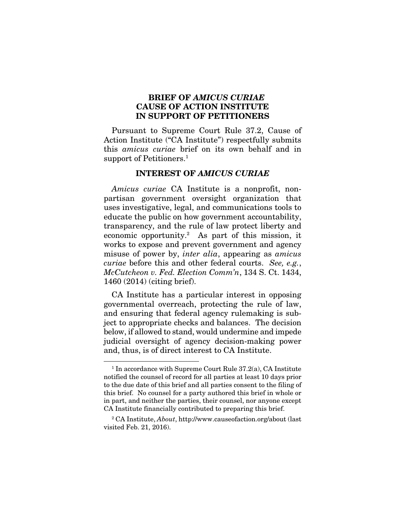#### BRIEF OF *AMICUS CURIAE* CAUSE OF ACTION INSTITUTE IN SUPPORT OF PETITIONERS

Pursuant to Supreme Court Rule 37.2, Cause of Action Institute ("CA Institute") respectfully submits this *amicus curiae* brief on its own behalf and in support of Petitioners.<sup>1</sup>

#### INTEREST OF *AMICUS CURIAE*

*Amicus curiae* CA Institute is a nonprofit, nonpartisan government oversight organization that uses investigative, legal, and communications tools to educate the public on how government accountability, transparency, and the rule of law protect liberty and economic opportunity.2 As part of this mission, it works to expose and prevent government and agency misuse of power by, *inter alia*, appearing as *amicus curiae* before this and other federal courts. *See, e.g.*, *McCutcheon v. Fed. Election Comm'n*, 134 S. Ct. 1434, 1460 (2014) (citing brief).

CA Institute has a particular interest in opposing governmental overreach, protecting the rule of law, and ensuring that federal agency rulemaking is subject to appropriate checks and balances. The decision below, if allowed to stand, would undermine and impede judicial oversight of agency decision-making power and, thus, is of direct interest to CA Institute.

<sup>&</sup>lt;sup>1</sup> In accordance with Supreme Court Rule 37.2(a), CA Institute notified the counsel of record for all parties at least 10 days prior to the due date of this brief and all parties consent to the filing of this brief. No counsel for a party authored this brief in whole or in part, and neither the parties, their counsel, nor anyone except CA Institute financially contributed to preparing this brief.

<sup>2</sup> CA Institute, *About*, http://www.causeofaction.org/about (last visited Feb. 21, 2016).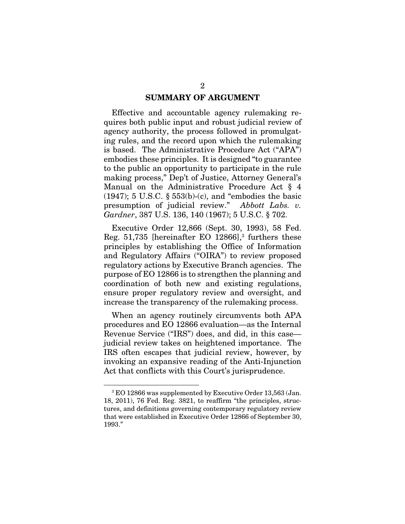#### SUMMARY OF ARGUMENT

Effective and accountable agency rulemaking requires both public input and robust judicial review of agency authority, the process followed in promulgating rules, and the record upon which the rulemaking is based. The Administrative Procedure Act ("APA") embodies these principles. It is designed "to guarantee to the public an opportunity to participate in the rule making process," Dep't of Justice, Attorney General's Manual on the Administrative Procedure Act § 4 (1947); 5 U.S.C. § 553(b)-(c), and "embodies the basic presumption of judicial review." *Abbott Labs. v. Gardner*, 387 U.S. 136, 140 (1967); 5 U.S.C. § 702.

Executive Order 12,866 (Sept. 30, 1993), 58 Fed. Reg. 51,735 [hereinafter EO 12866],<sup>3</sup> furthers these principles by establishing the Office of Information and Regulatory Affairs ("OIRA") to review proposed regulatory actions by Executive Branch agencies. The purpose of EO 12866 is to strengthen the planning and coordination of both new and existing regulations, ensure proper regulatory review and oversight, and increase the transparency of the rulemaking process.

When an agency routinely circumvents both APA procedures and EO 12866 evaluation—as the Internal Revenue Service ("IRS") does, and did, in this case judicial review takes on heightened importance. The IRS often escapes that judicial review, however, by invoking an expansive reading of the Anti-Injunction Act that conflicts with this Court's jurisprudence.

<sup>3</sup> EO 12866 was supplemented by Executive Order 13,563 (Jan. 18, 2011), 76 Fed. Reg. 3821, to reaffirm "the principles, structures, and definitions governing contemporary regulatory review that were established in Executive Order 12866 of September 30, 1993."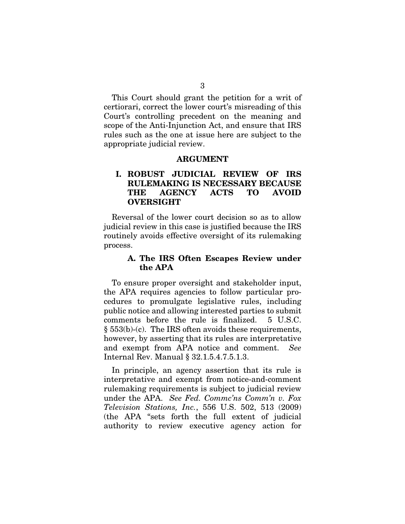This Court should grant the petition for a writ of certiorari, correct the lower court's misreading of this Court's controlling precedent on the meaning and scope of the Anti-Injunction Act, and ensure that IRS rules such as the one at issue here are subject to the appropriate judicial review.

#### ARGUMENT

### I. ROBUST JUDICIAL REVIEW OF IRS RULEMAKING IS NECESSARY BECAUSE THE AGENCY ACTS TO AVOID OVERSIGHT

Reversal of the lower court decision so as to allow judicial review in this case is justified because the IRS routinely avoids effective oversight of its rulemaking process.

#### A. The IRS Often Escapes Review under the APA

To ensure proper oversight and stakeholder input, the APA requires agencies to follow particular procedures to promulgate legislative rules, including public notice and allowing interested parties to submit comments before the rule is finalized. 5 U.S.C. § 553(b)-(c). The IRS often avoids these requirements, however, by asserting that its rules are interpretative and exempt from APA notice and comment. *See* Internal Rev. Manual § 32.1.5.4.7.5.1.3.

In principle, an agency assertion that its rule is interpretative and exempt from notice-and-comment rulemaking requirements is subject to judicial review under the APA. *See Fed. Commc'ns Comm'n v. Fox Television Stations, Inc.*, 556 U.S. 502, 513 (2009) (the APA "sets forth the full extent of judicial authority to review executive agency action for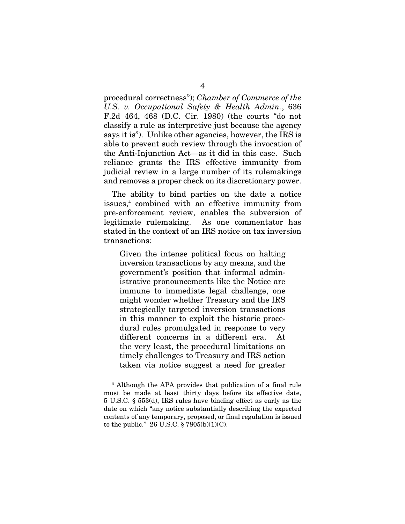procedural correctness"); *Chamber of Commerce of the U.S. v. Occupational Safety & Health Admin.*, 636 F.2d 464, 468 (D.C. Cir. 1980) (the courts "do not classify a rule as interpretive just because the agency says it is"). Unlike other agencies, however, the IRS is able to prevent such review through the invocation of the Anti-Injunction Act—as it did in this case. Such reliance grants the IRS effective immunity from judicial review in a large number of its rulemakings and removes a proper check on its discretionary power.

The ability to bind parties on the date a notice issues,4 combined with an effective immunity from pre-enforcement review, enables the subversion of legitimate rulemaking. As one commentator has stated in the context of an IRS notice on tax inversion transactions:

Given the intense political focus on halting inversion transactions by any means, and the government's position that informal administrative pronouncements like the Notice are immune to immediate legal challenge, one might wonder whether Treasury and the IRS strategically targeted inversion transactions in this manner to exploit the historic procedural rules promulgated in response to very different concerns in a different era. At the very least, the procedural limitations on timely challenges to Treasury and IRS action taken via notice suggest a need for greater

<sup>4</sup> Although the APA provides that publication of a final rule must be made at least thirty days before its effective date, 5 U.S.C. § 553(d), IRS rules have binding effect as early as the date on which "any notice substantially describing the expected contents of any temporary, proposed, or final regulation is issued to the public." 26 U.S.C.  $\S 7805(b)(1)(C)$ .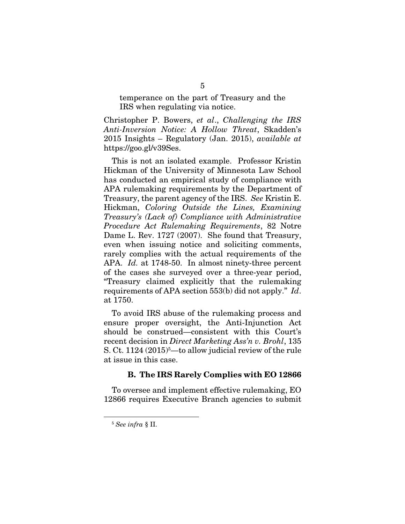temperance on the part of Treasury and the IRS when regulating via notice.

Christopher P. Bowers, *et al*., *Challenging the IRS Anti-Inversion Notice: A Hollow Threat*, Skadden's 2015 Insights – Regulatory (Jan. 2015), *available at* https://goo.gl/v39Ses.

This is not an isolated example. Professor Kristin Hickman of the University of Minnesota Law School has conducted an empirical study of compliance with APA rulemaking requirements by the Department of Treasury, the parent agency of the IRS. *See* Kristin E. Hickman, *Coloring Outside the Lines, Examining Treasury's (Lack of) Compliance with Administrative Procedure Act Rulemaking Requirements*, 82 Notre Dame L. Rev. 1727 (2007). She found that Treasury, even when issuing notice and soliciting comments, rarely complies with the actual requirements of the APA. *Id.* at 1748-50. In almost ninety-three percent of the cases she surveyed over a three-year period, "Treasury claimed explicitly that the rulemaking requirements of APA section 553(b) did not apply." *Id*. at 1750.

To avoid IRS abuse of the rulemaking process and ensure proper oversight, the Anti-Injunction Act should be construed—consistent with this Court's recent decision in *Direct Marketing Ass'n v. Brohl*, 135 S. Ct. 1124 (2015)<sup>5</sup>—to allow judicial review of the rule at issue in this case.

#### B. The IRS Rarely Complies with EO 12866

To oversee and implement effective rulemaking, EO 12866 requires Executive Branch agencies to submit

<sup>5</sup> *See infra* § II.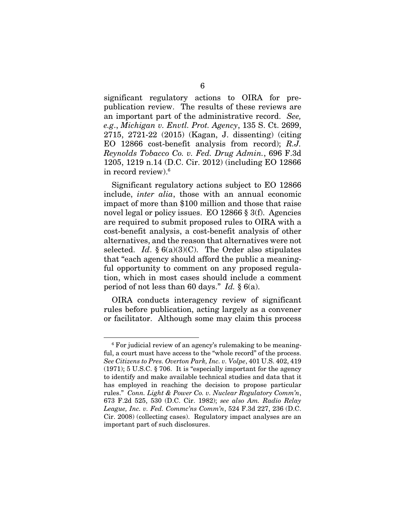significant regulatory actions to OIRA for prepublication review. The results of these reviews are an important part of the administrative record. *See, e.g*., *Michigan v. Envtl. Prot. Agency*, 135 S. Ct. 2699, 2715, 2721-22 (2015) (Kagan, J. dissenting) (citing EO 12866 cost-benefit analysis from record); *R.J. Reynolds Tobacco Co. v. Fed. Drug Admin.*, 696 F.3d 1205, 1219 n.14 (D.C. Cir. 2012) (including EO 12866 in record review).6

Significant regulatory actions subject to EO 12866 include, *inter alia*, those with an annual economic impact of more than \$100 million and those that raise novel legal or policy issues. EO 12866 § 3(f). Agencies are required to submit proposed rules to OIRA with a cost-benefit analysis, a cost-benefit analysis of other alternatives, and the reason that alternatives were not selected. *Id.*  $\S 6(a)(3)(C)$ . The Order also stipulates that "each agency should afford the public a meaningful opportunity to comment on any proposed regulation, which in most cases should include a comment period of not less than 60 days." *Id.* § 6(a).

OIRA conducts interagency review of significant rules before publication, acting largely as a convener or facilitator. Although some may claim this process

<sup>6</sup> For judicial review of an agency's rulemaking to be meaningful, a court must have access to the "whole record" of the process. *See Citizens to Pres. Overton Park, Inc. v. Volpe*, 401 U.S. 402, 419 (1971); 5 U.S.C. § 706. It is "especially important for the agency to identify and make available technical studies and data that it has employed in reaching the decision to propose particular rules." *Conn. Light & Power Co. v. Nuclear Regulatory Comm'n*, 673 F.2d 525, 530 (D.C. Cir. 1982); *see also Am. Radio Relay League, Inc. v. Fed. Commc'ns Comm'n*, 524 F.3d 227, 236 (D.C. Cir. 2008) (collecting cases). Regulatory impact analyses are an important part of such disclosures.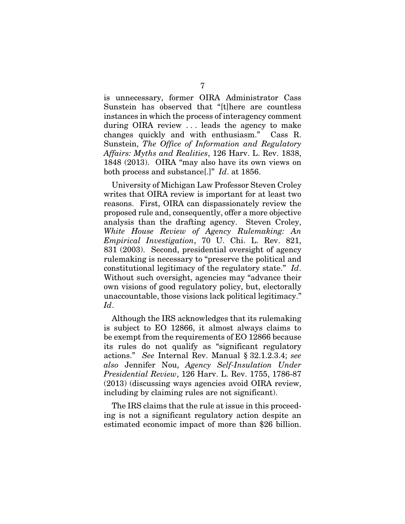is unnecessary, former OIRA Administrator Cass Sunstein has observed that "[t]here are countless instances in which the process of interagency comment during OIRA review . . . leads the agency to make changes quickly and with enthusiasm." Cass R. Sunstein, *The Office of Information and Regulatory Affairs: Myths and Realities*, 126 Harv. L. Rev. 1838, 1848 (2013). OIRA "may also have its own views on both process and substance[.]" *Id*. at 1856.

University of Michigan Law Professor Steven Croley writes that OIRA review is important for at least two reasons. First, OIRA can dispassionately review the proposed rule and, consequently, offer a more objective analysis than the drafting agency. Steven Croley, *White House Review of Agency Rulemaking: An Empirical Investigation*, 70 U. Chi. L. Rev. 821, 831 (2003). Second, presidential oversight of agency rulemaking is necessary to "preserve the political and constitutional legitimacy of the regulatory state." *Id*. Without such oversight, agencies may "advance their own visions of good regulatory policy, but, electorally unaccountable, those visions lack political legitimacy." *Id*.

Although the IRS acknowledges that its rulemaking is subject to EO 12866, it almost always claims to be exempt from the requirements of EO 12866 because its rules do not qualify as "significant regulatory actions." *See* Internal Rev. Manual § 32.1.2.3.4; *see also* Jennifer Nou, *Agency Self-Insulation Under Presidential Review*, 126 Harv. L. Rev. 1755, 1786-87 (2013) (discussing ways agencies avoid OIRA review, including by claiming rules are not significant).

The IRS claims that the rule at issue in this proceeding is not a significant regulatory action despite an estimated economic impact of more than \$26 billion.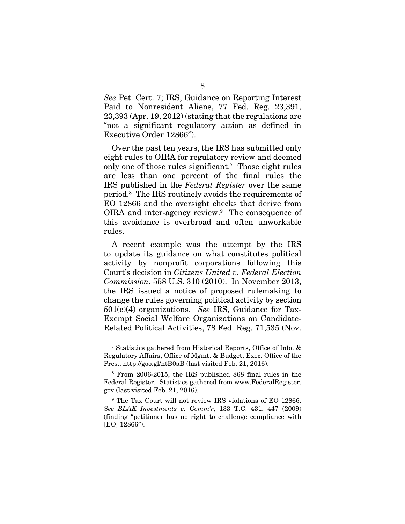*See* Pet. Cert. 7; IRS, Guidance on Reporting Interest Paid to Nonresident Aliens, 77 Fed. Reg. 23,391, 23,393 (Apr. 19, 2012) (stating that the regulations are "not a significant regulatory action as defined in Executive Order 12866").

Over the past ten years, the IRS has submitted only eight rules to OIRA for regulatory review and deemed only one of those rules significant.<sup>7</sup> Those eight rules are less than one percent of the final rules the IRS published in the *Federal Register* over the same period.8 The IRS routinely avoids the requirements of EO 12866 and the oversight checks that derive from OIRA and inter-agency review.<sup>9</sup> The consequence of this avoidance is overbroad and often unworkable rules.

A recent example was the attempt by the IRS to update its guidance on what constitutes political activity by nonprofit corporations following this Court's decision in *Citizens United v. Federal Election Commission*, 558 U.S. 310 (2010). In November 2013, the IRS issued a notice of proposed rulemaking to change the rules governing political activity by section 501(c)(4) organizations. *See* IRS, Guidance for Tax-Exempt Social Welfare Organizations on Candidate-Related Political Activities, 78 Fed. Reg. 71,535 (Nov.

<sup>7</sup> Statistics gathered from Historical Reports, Office of Info. & Regulatory Affairs, Office of Mgmt. & Budget, Exec. Office of the Pres., http://goo.gl/ntB0aB (last visited Feb. 21, 2016).

<sup>8</sup> From 2006-2015, the IRS published 868 final rules in the Federal Register. Statistics gathered from www.FederalRegister. gov (last visited Feb. 21, 2016).

<sup>9</sup> The Tax Court will not review IRS violations of EO 12866. *See BLAK Investments v. Comm'r*, 133 T.C. 431, 447 (2009) (finding "petitioner has no right to challenge compliance with [EO] 12866").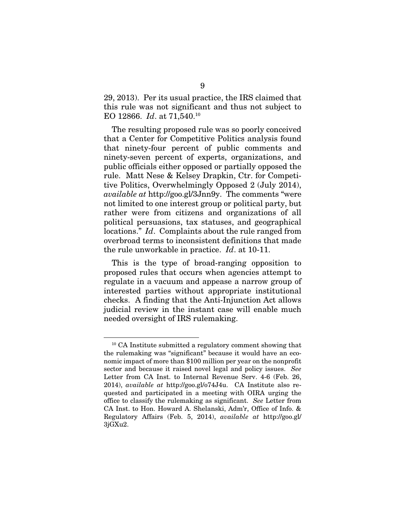29, 2013). Per its usual practice, the IRS claimed that this rule was not significant and thus not subject to EO 12866. *Id*. at 71,540.10

The resulting proposed rule was so poorly conceived that a Center for Competitive Politics analysis found that ninety-four percent of public comments and ninety-seven percent of experts, organizations, and public officials either opposed or partially opposed the rule. Matt Nese & Kelsey Drapkin, Ctr. for Competitive Politics, Overwhelmingly Opposed 2 (July 2014), *available at* http://goo.gl/3Jnn9y. The comments "were not limited to one interest group or political party, but rather were from citizens and organizations of all political persuasions, tax statuses, and geographical locations." *Id*. Complaints about the rule ranged from overbroad terms to inconsistent definitions that made the rule unworkable in practice. *Id*. at 10-11.

This is the type of broad-ranging opposition to proposed rules that occurs when agencies attempt to regulate in a vacuum and appease a narrow group of interested parties without appropriate institutional checks. A finding that the Anti-Injunction Act allows judicial review in the instant case will enable much needed oversight of IRS rulemaking.

<sup>10</sup> CA Institute submitted a regulatory comment showing that the rulemaking was "significant" because it would have an economic impact of more than \$100 million per year on the nonprofit sector and because it raised novel legal and policy issues. *See* Letter from CA Inst. to Internal Revenue Serv. 4-6 (Feb. 26, 2014), *available at* http://goo.gl/o74J4u. CA Institute also requested and participated in a meeting with OIRA urging the office to classify the rulemaking as significant. *See* Letter from CA Inst. to Hon. Howard A. Shelanski, Adm'r, Office of Info. & Regulatory Affairs (Feb. 5, 2014), *available at* http://goo.gl/ 3jGXu2.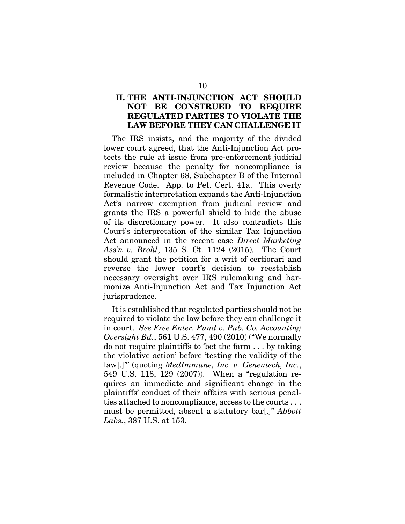### II. THE ANTI-INJUNCTION ACT SHOULD NOT BE CONSTRUED TO REQUIRE REGULATED PARTIES TO VIOLATE THE LAW BEFORE THEY CAN CHALLENGE IT

The IRS insists, and the majority of the divided lower court agreed, that the Anti-Injunction Act protects the rule at issue from pre-enforcement judicial review because the penalty for noncompliance is included in Chapter 68, Subchapter B of the Internal Revenue Code. App. to Pet. Cert. 41a. This overly formalistic interpretation expands the Anti-Injunction Act's narrow exemption from judicial review and grants the IRS a powerful shield to hide the abuse of its discretionary power. It also contradicts this Court's interpretation of the similar Tax Injunction Act announced in the recent case *Direct Marketing Ass'n v. Brohl*, 135 S. Ct. 1124 (2015)*.* The Court should grant the petition for a writ of certiorari and reverse the lower court's decision to reestablish necessary oversight over IRS rulemaking and harmonize Anti-Injunction Act and Tax Injunction Act jurisprudence.

It is established that regulated parties should not be required to violate the law before they can challenge it in court. *See Free Enter. Fund v. Pub. Co. Accounting Oversight Bd.*, 561 U.S. 477, 490 (2010) ("We normally do not require plaintiffs to 'bet the farm . . . by taking the violative action' before 'testing the validity of the law[.]'" (quoting *MedImmune, Inc. v. Genentech, Inc.*, 549 U.S. 118, 129 (2007)). When a "regulation requires an immediate and significant change in the plaintiffs' conduct of their affairs with serious penalties attached to noncompliance, access to the courts . . . must be permitted, absent a statutory bar[.]" *Abbott Labs.*, 387 U.S. at 153.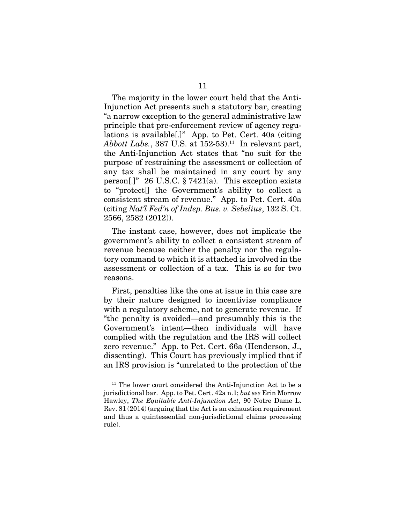The majority in the lower court held that the Anti-Injunction Act presents such a statutory bar, creating "a narrow exception to the general administrative law principle that pre-enforcement review of agency regulations is available[.]" App. to Pet. Cert. 40a (citing *Abbott Labs.*, 387 U.S. at 152-53).<sup>11</sup> In relevant part, the Anti-Injunction Act states that "no suit for the purpose of restraining the assessment or collection of any tax shall be maintained in any court by any person[.]" 26 U.S.C.  $\S 7421(a)$ . This exception exists to "protect[] the Government's ability to collect a consistent stream of revenue." App. to Pet. Cert. 40a (citing *Nat'l Fed'n of Indep. Bus. v. Sebelius*, 132 S. Ct. 2566, 2582 (2012)).

The instant case, however, does not implicate the government's ability to collect a consistent stream of revenue because neither the penalty nor the regulatory command to which it is attached is involved in the assessment or collection of a tax. This is so for two reasons.

First, penalties like the one at issue in this case are by their nature designed to incentivize compliance with a regulatory scheme, not to generate revenue. If "the penalty is avoided—and presumably this is the Government's intent—then individuals will have complied with the regulation and the IRS will collect zero revenue." App. to Pet. Cert. 66a (Henderson, J., dissenting). This Court has previously implied that if an IRS provision is "unrelated to the protection of the

<sup>&</sup>lt;sup>11</sup> The lower court considered the Anti-Injunction Act to be a jurisdictional bar. App. to Pet. Cert. 42a n.1; *but see* Erin Morrow Hawley, *The Equitable Anti-Injunction Act*, 90 Notre Dame L. Rev. 81 (2014) (arguing that the Act is an exhaustion requirement and thus a quintessential non-jurisdictional claims processing rule).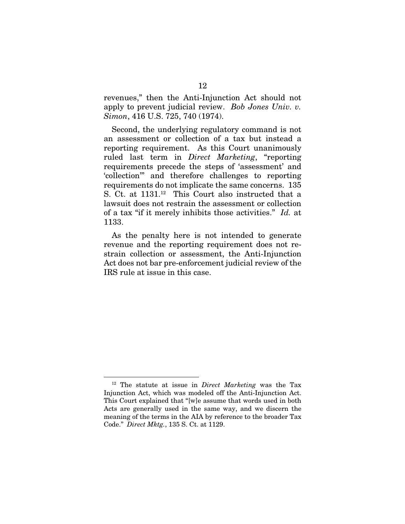revenues," then the Anti-Injunction Act should not apply to prevent judicial review. *Bob Jones Univ. v. Simon*, 416 U.S. 725, 740 (1974).

Second, the underlying regulatory command is not an assessment or collection of a tax but instead a reporting requirement. As this Court unanimously ruled last term in *Direct Marketing*, "reporting requirements precede the steps of 'assessment' and 'collection'" and therefore challenges to reporting requirements do not implicate the same concerns. 135 S. Ct. at 1131.<sup>12</sup> This Court also instructed that a lawsuit does not restrain the assessment or collection of a tax "if it merely inhibits those activities." *Id.* at 1133.

As the penalty here is not intended to generate revenue and the reporting requirement does not restrain collection or assessment, the Anti-Injunction Act does not bar pre-enforcement judicial review of the IRS rule at issue in this case.

<sup>12</sup> The statute at issue in *Direct Marketing* was the Tax Injunction Act, which was modeled off the Anti-Injunction Act. This Court explained that "[w]e assume that words used in both Acts are generally used in the same way, and we discern the meaning of the terms in the AIA by reference to the broader Tax Code." *Direct Mktg.*, 135 S. Ct. at 1129.